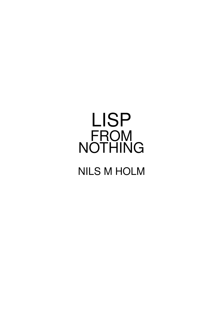# LISP FROM NOTHING

# NILS M HOLM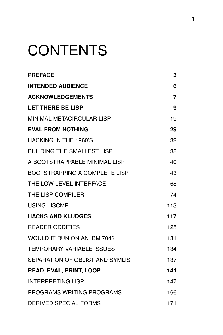# **CONTENTS**

| <b>PREFACE</b>                    | 3              |
|-----------------------------------|----------------|
| <b>INTENDED AUDIENCE</b>          | 6              |
| <b>ACKNOWLEDGEMENTS</b>           | $\overline{7}$ |
| <b>LET THERE BE LISP</b>          | 9              |
| MINIMAL METACIRCULAR LISP         | 19             |
| <b>EVAL FROM NOTHING</b>          | 29             |
| HACKING IN THE 1960'S             | 32             |
| <b>BUILDING THE SMALLEST LISP</b> | 38             |
| A BOOTSTRAPPABLE MINIMAL LISP     | 40             |
| BOOTSTRAPPING A COMPLETE LISP     | 43             |
| THE LOW-LEVEL INTERFACE           | 68             |
| THE LISP COMPILER                 | 74             |
| <b>USING LISCMP</b>               | 113            |
| <b>HACKS AND KLUDGES</b>          | 117            |
| <b>READER ODDITIES</b>            | 125            |
| WOULD IT RUN ON AN IBM 704?       | 131            |
| <b>TEMPORARY VARIABLE ISSUES</b>  | 134            |
| SEPARATION OF OBLIST AND SYMLIS   | 137            |
| <b>READ, EVAL, PRINT, LOOP</b>    | 141            |
| <b>INTERPRETING LISP</b>          | 147            |
| PROGRAMS WRITING PROGRAMS         | 166            |
| <b>DERIVED SPECIAL FORMS</b>      | 171            |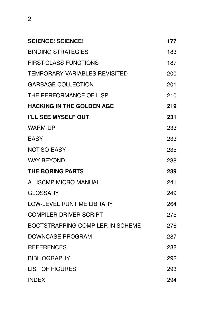| <b>SCIENCE! SCIENCE!</b>                | 177 |
|-----------------------------------------|-----|
| <b>BINDING STRATEGIES</b>               | 183 |
| <b>FIRST-CLASS FUNCTIONS</b>            | 187 |
| <b>TEMPORARY VARIABLES REVISITED</b>    | 200 |
| <b>GARBAGE COLLECTION</b>               | 201 |
| THE PERFORMANCE OF LISP                 | 210 |
| <b>HACKING IN THE GOLDEN AGE</b>        | 219 |
| I'LL SEE MYSELF OUT                     | 231 |
| <b>WARM-UP</b>                          | 233 |
| <b>EASY</b>                             | 233 |
| <b>NOT-SO-EASY</b>                      | 235 |
| <b>WAY BEYOND</b>                       | 238 |
| <b>THE BORING PARTS</b>                 | 239 |
| A LISCMP MICRO MANUAL                   | 241 |
| <b>GLOSSARY</b>                         | 249 |
| <b>LOW-LEVEL RUNTIME LIBRARY</b>        | 264 |
| <b>COMPILER DRIVER SCRIPT</b>           | 275 |
| <b>BOOTSTRAPPING COMPILER IN SCHEME</b> | 276 |
| <b>DOWNCASE PROGRAM</b>                 | 287 |
| <b>REFERENCES</b>                       | 288 |
| <b>BIBLIOGRAPHY</b>                     | 292 |
| <b>LIST OF FIGURES</b>                  | 293 |
| <b>INDEX</b>                            | 294 |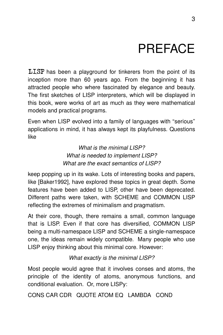# PREFACE

 $LLSP$  has been a playground for tinkerers from the point of its inception more than 60 years ago. From the beginning it has attracted people who where fascinated by elegance and beauty. The first sketches of LISP interpreters, which will be displayed in this book, were works of art as much as they were mathematical models and practical programs.

Even when LISP evolved into a family of languages with "serious" applications in mind, it has always kept its playfulness. Questions like

> What is the minimal LISP? What is needed to implement LISP? What are the exact semantics of LISP?

keep popping up in its wake. Lots of interesting books and papers, like [Baker1992], have explored these topics in great depth. Some features have been added to LISP, other have been deprecated. Different paths were taken, with SCHEME and COMMON LISP reflecting the extremes of minimalism and pragmatism.

At their core, though, there remains a small, common language that is LISP. Even if that core has diversified, COMMON LISP being a multi-namespace LISP and SCHEME a single-namespace one, the ideas remain widely compatible. Many people who use LISP enjoy thinking about this minimal core. However:

# What exactly is the minimal LISP?

Most people would agree that it involves conses and atoms, the principle of the identity of atoms, anonymous functions, and conditional evaluation. Or, more LISPy:

CONS CAR CDR QUOTE ATOM EQ LAMBDA COND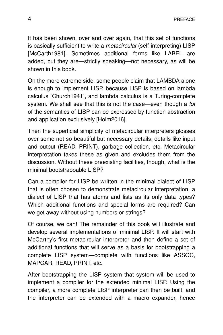It has been shown, over and over again, that this set of functions is basically sufficient to write a *metacircular* (self-interpreting) LISP [McCarth1981]. Sometimes additional forms like LABEL are added, but they are—strictly speaking—not necessary, as will be shown in this book.

On the more extreme side, some people claim that LAMBDA alone is enough to implement LISP, because LISP is based on lambda calculus [Church1941], and lambda calculus is a Turing-complete system. We shall see that this is not the case—even though a lot of the semantics of LISP can be expressed by function abstraction and application exclusively [Holm2016].

Then the superficial simplicity of metacircular interpreters glosses over some not-so-beautiful but necessary details; details like input and output (READ, PRINT), garbage collection, etc. Metacircular interpretation takes these as given and excludes them from the discussion. Without these preexisting facilities, though, what is the minimal bootstrappable LISP?

Can a compiler for LISP be written in the minimal dialect of LISP that is often chosen to demonstrate metacircular interpretation, a dialect of LISP that has atoms and lists as its only data types? Which additional functions and special forms are required? Can we get away without using numbers or strings?

Of course, we can! The remainder of this book will illustrate and develop several implementations of minimal LISP. It will start with McCarthy's first metacircular interpreter and then define a set of additional functions that will serve as a basis for bootstrapping a complete LISP system—complete with functions like ASSOC, MAPCAR, READ, PRINT, etc.

After bootstrapping the LISP system that system will be used to implement a compiler for the extended minimal LISP. Using the compiler, a more complete LISP interpreter can then be built, and the interpreter can be extended with a macro expander, hence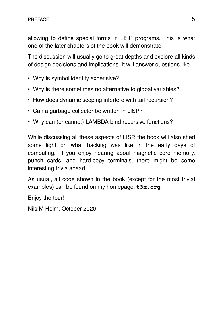allowing to define special forms in LISP programs. This is what one of the later chapters of the book will demonstrate.

The discussion will usually go to great depths and explore all kinds of design decisions and implications. It will answer questions like

- Why is symbol identity expensive?
- Why is there sometimes no alternative to global variables?
- How does dynamic scoping interfere with tail recursion?
- Can a garbage collector be written in LISP?
- Why can (or cannot) LAMBDA bind recursive functions?

While discussing all these aspects of LISP, the book will also shed some light on what hacking was like in the early days of computing. If you enjoy hearing about magnetic core memory, punch cards, and hard-copy terminals, there might be some interesting trivia ahead!

As usual, all code shown in the book (except for the most trivial examples) can be found on my homepage, **t3x.org**.

Enjoy the tour!

Nils M Holm, October 2020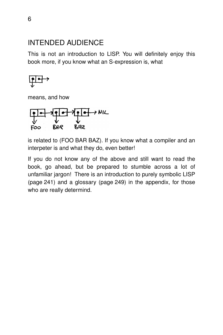# INTENDED AUDIENCE

This is not an introduction to LISP. You will definitely enjoy this book more, if you know what an S-expression is, what

$$
\underbrace{\text{pt}} \rightarrow
$$

means, and how



is related to (FOO BAR BAZ). If you know what a compiler and an interpeter is and what they do, even better!

If you do not know any of the above and still want to read the book, go ahead, but be prepared to stumble across a lot of unfamiliar jargon! There is an introduction to purely symbolic LISP (page 241) and a glossary (page 249) in the appendix, for those who are really determind.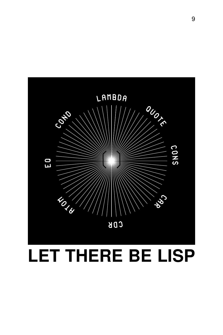

# **LET THERE BE LISP**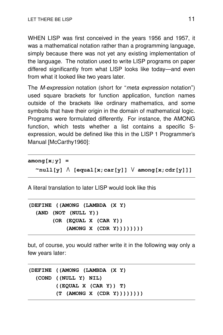WHEN LISP was first conceived in the years 1956 and 1957, it was a mathematical notation rather than a programming language, simply because there was not yet any existing implementation of the language. The notation used to write LISP programs on paper differed significantly from what LISP looks like today—and even from what it looked like two years later.

The *M-expression* notation (short for "*meta expression* notation") used square brackets for function application, function names outside of the brackets like ordinary mathematics, and some symbols that have their origin in the domain of mathematical logic. Programs were formulated differently. For instance, the AMONG function, which tests whether a list contains a specific Sexpression, would be defined like this in the LISP 1 Programmer's Manual [McCarthy1960]:

```
among[x;y] =
  ˜
null[y] /\ [equal[x;car[y]] \/ among[x;cdr[y]]]
```
A literal translation to later LISP would look like this

```
(DEFINE ((AMONG (LAMBDA (X Y)
  (AND (NOT (NULL Y))
       (OR (EQUAL X (CAR Y))
           (AMONG X (CDR Y))))))))
```
but, of course, you would rather write it in the following way only a few years later:

```
(DEFINE ((AMONG (LAMBDA (X Y)
  (COND ((NULL Y) NIL)
        ((EQUAL X (CAR Y)) T)
        (T (AMONG X (CDR Y))))))))
```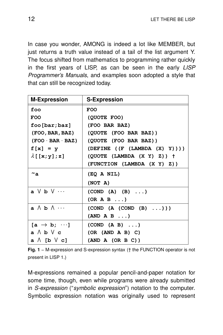In case you wonder, AMONG is indeed a lot like MEMBER, but just returns a truth value instead of a tail of the list argument Y. The focus shifted from mathematics to programming rather quickly in the first years of LISP, as can be seen in the early LISP Programmer's Manuals, and examples soon adopted a style that that can still be recognized today.

| <b>M-Expression</b>                                  | <b>S-Expression</b>             |
|------------------------------------------------------|---------------------------------|
| foo                                                  | <b>FOO</b>                      |
| <b>FOO</b>                                           | (QUOTE FOO)                     |
| foo[bar;baz]                                         | (FOO BAR BAZ)                   |
| (FOO, BAR, BAL)                                      | (QUOTE (FOO BAR BAZ))           |
| $(FOO \cdot BAR \cdot BAZ)$                          | (QUOTE (FOO BAR BAZ))           |
| $f[x] = y$                                           | (DEFINE $((F (LAMBDA (X) Y)))$  |
| $\lambda$ [[x;y];z]                                  | $(QUOTE$ (LAMBDA $(X Y) Z)$ ) + |
|                                                      | (FUNCTION (LAMBDA (X Y) Z))     |
| $\mathord{\sim}_{\texttt{a}}$                        | (EQ A NIL)                      |
|                                                      | (NOT A)                         |
| $a \vee b \vee \cdots$                               | (COND (A) (B) )                 |
|                                                      | (OR A B )                       |
| $\mathsf{a}\, \wedge\, \mathsf{b}\, \wedge\, \cdots$ | (COND (A (COND (B) )))          |
|                                                      | (AND A B )                      |
| $[a \rightarrow b; \cdots]$                          | (COND (A B) )                   |
| $a \wedge b \vee c$                                  | (OR (AND A B) C)                |
| $a \wedge [b \vee c]$                                | (AND A (OR B C))                |

**Fig. 1** − M-expression and S-expression syntax († the FUNCTION operator is not present in LISP 1.)

M-expressions remained a popular pencil-and-paper notation for some time, though, even while programs were already submitted in S-expression ("symbolic expression") notation to the computer. Symbolic expression notation was originally used to represent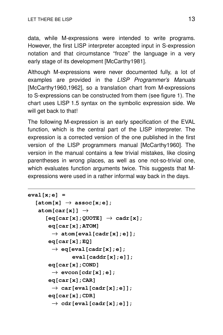data, while M-expressions were intended to write programs. However, the first LISP interpreter accepted input in S-expression notation and that circumstance "froze" the language in a very early stage of its development [McCarthy1981].

Although M-expressions were never documented fully, a lot of examples are provided in the LISP Programmer's Manuals [McCarthy1960,1962], so a translation chart from M-expressions to S-expressions can be constructed from them (see figure 1). The chart uses LISP 1.5 syntax on the symbolic expression side. We will get back to that!

The following M-expression is an early specification of the EVAL function, which is the central part of the LISP interpreter. The expression is a corrected version of the one published in the first version of the LISP programmers manual [McCarthy1960]. The version in the manual contains a few trivial mistakes, like closing parentheses in wrong places, as well as one not-so-trivial one, which evaluates function arguments twice. This suggests that Mexpressions were used in a rather informal way back in the days.

```
eval[x;e] =
   [atom[x] \rightarrow assoc[x; e];atom[car[x]] \rightarrow[eq[car[x];QUOTE] \rightarrow cadr[x];eq[car[x];ATOM]
         \rightarrow atom[eval[cadr[x];e]];
       eq[car[x];EQ]
         \rightarrow eq[eval[cadr[x];e];
                 eval[caddr[x];e]];
       eq[car[x];COND]
         \rightarrow evcon [cdr[x]; e];
       eq[car[x];CAR]
         \rightarrow car[eval[cadr[x];e]];
       eq[car[x];CDR]
         \rightarrow cdr[eval[cadr[x];e]];
```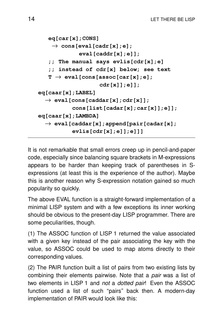```
eq[car[x];CONS]
    \rightarrow cons[eval[cadr[x];e];
             eval[caddr[x];e]];
   ;; The manual says evlis[cdr[x];e]
   ;; instead of cdr[x] below; see text
   T \rightarrow eval[cons[assoc[car[x];e];cdr[x]];e]];
eq[caar[x];LABEL]
  \rightarrow eval[cons[caddar[x];cdr[x]];
           cons[list[cadar[x];car[x]];e]];
eq[caar[x];LAMBDA]
  \rightarrow eval[caddar[x]; append[pair[cadar[x];
           evlis[cdr[x];e]];e]]]
```
It is not remarkable that small errors creep up in pencil-and-paper code, especially since balancing square brackets in M-expressions appears to be harder than keeping track of parentheses in Sexpressions (at least this is the experience of the author). Maybe this is another reason why S-expression notation gained so much popularity so quickly.

The above EVAL function is a straight-forward implementation of a minimal LISP system and with a few exceptions its inner working should be obvious to the present-day LISP programmer. There are some peculiarities, though.

(1) The ASSOC function of LISP 1 returned the value associated with a given key instead of the pair associating the key with the value, so ASSOC could be used to map atoms directly to their corresponding values.

(2) The PAIR function built a list of pairs from two existing lists by combining their elements pairwise. Note that a *pair* was a list of two elements in LISP 1 and not a dotted pair! Even the ASSOC function used a list of such "pairs" back then. A modern-day implementation of PAIR would look like this: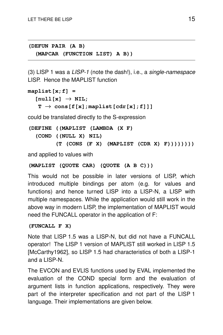**(DEFUN PAIR (A B) (MAPCAR (FUNCTION LIST) A B))**

(3) LISP 1 was a LISP-1 (note the dash!), i.e., a single-namespace LISP. Hence the MAPLIST function

```
maplist[x;f] =
   [null[x] \rightarrow NIL;T \rightarrow \cos[f(x]; \text{maplist}[cdr(x];f]]]
```
could be translated directly to the S-expression

```
(DEFINE ((MAPLIST (LAMBDA (X F)
  (COND ((NULL X) NIL)
        (T (CONS (F X) (MAPLIST (CDR X) F))))))))
```
and applied to values with

```
(MAPLIST (QUOTE CAR) (QUOTE (A B C)))
```
This would not be possible in later versions of LISP, which introduced multiple bindings per atom (e.g. for values and functions) and hence turned LISP into a LISP-N, a LISP with multiple namespaces. While the application would still work in the above way in modern LISP, the implementation of MAPLIST would need the FUNCALL operator in the application of F:

# **(FUNCALL F X)**

Note that LISP 1.5 was a LISP-N, but did not have a FUNCALL operator! The LISP 1 version of MAPLIST still worked in LISP 1.5 [McCarthy1962], so LISP 1.5 had characteristics of both a LISP-1 and a LISP-N.

The EVCON and EVLIS functions used by EVAL implemented the evaluation of the COND special form and the evaluation of argument lists in function applications, respectively. They were part of the interpreter specification and not part of the LISP 1 language. Their implementations are given below.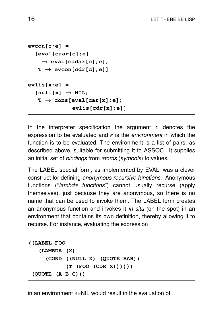```
evcon[c;e] =
   [eval[caar[c];e]
     \rightarrow eval[cadar[c];e];
    T \rightarrow evcon[cdr[c];e]]
evlis[x;e] =
   [null[x] \rightarrow NIL;T \rightarrow \cos[\text{eval}[\text{car}[x];e];evlis[cdr[x];e]]
```
In the interpreter specification the argument *x* denotes the expression to be evaluated and *e* is the environment in which the function is to be evaluated. The environment is a list of pairs, as described above, suitable for submitting it to ASSOC. It supplies an initial set of *bindings* from atoms (symbols) to values.

The LABEL special form, as implemented by EVAL, was a clever construct for defining anonymous recursive functions. Anonymous functions ("*lambda functions*") cannot usually recurse (apply themselves), just because they are anonymous, so there is no name that can be used to invoke them. The LABEL form creates an anonymous function and invokes it *in situ* (on the spot) in an environment that contains its own definition, thereby allowing it to recurse. For instance, evaluating the expression

```
((LABEL FOO
   (LAMBDA (X)
     (COND ((NULL X) (QUOTE BAR))
           (T (FOO (CDR X))))))
 (QUOTE (A B C)))
```
in an environment *e*=NIL would result in the evaluation of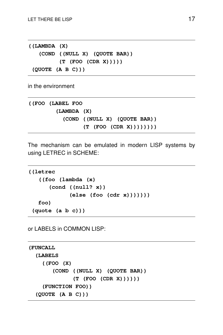**((LAMBDA (X) (COND ((NULL X) (QUOTE BAR)) (T (FOO (CDR X))))) (QUOTE (A B C)))**

in the environment

**((FOO (LABEL FOO (LAMBDA (X) (COND ((NULL X) (QUOTE BAR)) (T (FOO (CDR X))))))))**

The mechanism can be emulated in modern LISP systems by using LETREC in SCHEME:

```
((letrec
   ((foo (lambda (x)
      (cond ((null? x))
            (else (foo (cdr x)))))))
   foo)
 (quote (a b c)))
```
or LABELS in COMMON LISP:

```
(FUNCALL
  (LABELS
    ((FOO (X)
       (COND ((NULL X) (QUOTE BAR))
             (T (FOO (CDR X))))))
    (FUNCTION FOO))
  (QUOTE (A B C)))
```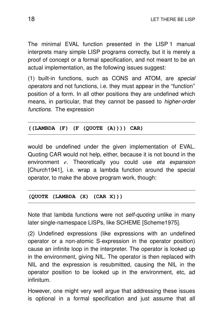The minimal EVAL function presented in the LISP 1 manual interprets many simple LISP programs correctly, but it is merely a proof of concept or a formal specification, and not meant to be an actual implementation, as the following issues suggest:

(1) built-in functions, such as CONS and ATOM, are special operators and not functions, i.e. they must appear in the ''function'' position of a form. In all other positions they are undefined which means, in particular, that they cannot be passed to *higher-order* functions. The expression

# **((LAMBDA (F) (F (QUOTE (A)))) CAR)**

would be undefined under the given implementation of EVAL. Quoting CAR would not help, either, because it is not bound in the environment *e*. Theoretically you could use eta expansion [Church1941], i.e. wrap a lambda function around the special operator, to make the above program work, though:

#### **(QUOTE (LAMBDA (X) (CAR X)))**

Note that lambda functions were not self-quoting unlike in many later single-namespace LISPs, like SCHEME [Scheme1975].

(2) Undefined expressions (like expressions with an undefined operator or a non-atomic S-expression in the operator position) cause an infinite loop in the interpreter. The operator is looked up in the environment, giving NIL. The operator is then replaced with NIL and the expression is resubmitted, causing the NIL in the operator position to be looked up in the environment, etc, ad infinitum.

However, one might very well argue that addressing these issues is optional in a formal specification and just assume that all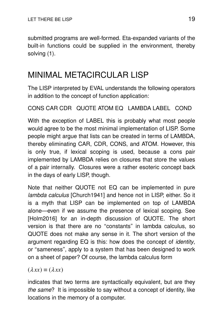submitted programs are well-formed. Eta-expanded variants of the built-in functions could be supplied in the environment, thereby solving (1).

# MINIMAL METACIRCULAR LISP

The LISP interpreted by EVAL understands the following operators in addition to the concept of function application:

CONS CAR CDR QUOTE ATOM EQ LAMBDA LABEL COND

With the exception of LABEL this is probably what most people would agree to be the most minimal implementation of LISP. Some people might argue that lists can be created in terms of LAMBDA, thereby eliminating CAR, CDR, CONS, and ATOM. However, this is only true, if lexical scoping is used, because a cons pair implemented by LAMBDA relies on closures that store the values of a pair internally. Closures were a rather esoteric concept back in the days of early LISP, though.

Note that neither QUOTE not EQ can be implemented in pure lambda calculus [Church1941] and hence not in LISP, either. So it is a myth that LISP can be implemented on top of LAMBDA alone—even if we assume the presence of lexical scoping. See [Holm2016] for an in-depth discussion of QUOTE. The short version is that there are no ''constants'' in lambda calculus, so QUOTE does not make any sense in it. The short version of the argument regarding EQ is this: how does the concept of *identity*, or "sameness", apply to a system that has been designed to work on a sheet of paper? Of course, the lambda calculus form

 $(\lambda xx) \equiv (\lambda xx)$ 

indicates that two terms are syntactically equivalent, but are they the same? It is impossible to say without a concept of identity, like locations in the memory of a computer.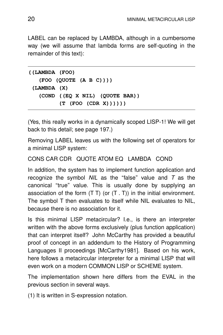LABEL can be replaced by LAMBDA, although in a cumbersome way (we will assume that lambda forms are self-quoting in the remainder of this text):

```
((LAMBDA (FOO)
   (FOO (QUOTE (A B C))))
 (LAMBDA (X)
   (COND ((EQ X NIL) (QUOTE BAR))
         (T (FOO (CDR X))))))
```
(Yes, this really works in a dynamically scoped LISP-1! We will get back to this detail; see page 197.)

Removing LABEL leaves us with the following set of operators for a minimal LISP system:

```
CONS CAR CDR QUOTE ATOM EQ LAMBDA COND
```
In addition, the system has to implement function application and recognize the symbol  $N/L$  as the "false" value and  $T$  as the canonical "true" value. This is usually done by supplying an association of the form  $(T T)$  (or  $(T T)$ ) in the initial environment. The symbol T then evaluates to itself while NIL evaluates to NIL, because there is no association for it.

Is this minimal LISP metacircular? I.e., is there an interpreter written with the above forms exclusively (plus function application) that can interpret itself? John McCarthy has provided a beautiful proof of concept in an addendum to the History of Programming Languages II proceedings [McCarthy1981]. Based on his work, here follows a metacircular interpreter for a minimal LISP that will even work on a modern COMMON LISP or SCHEME system.

The implementation shown here differs from the EVAL in the previous section in several ways.

(1) It is written in S-expression notation.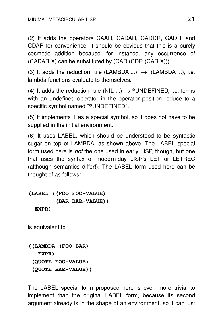(2) It adds the operators CAAR, CADAR, CADDR, CADR, and CDAR for convenience. It should be obvious that this is a purely cosmetic addition because, for instance, any occurrence of  $(CADAR X)$  can be substituted by  $(CAR (CDR (CAR X)))$ .

(3) It adds the reduction rule (LAMBDA ...)  $\rightarrow$  (LAMBDA ...), i.e. lambda functions evaluate to themselves.

(4) It adds the reduction rule (NIL  $\ldots$ )  $\rightarrow$  \*UNDEFINED, i.e. forms with an undefined operator in the operator position reduce to a specific symbol named ''**\***UNDEFINED''.

(5) It implements T as a special symbol, so it does not have to be supplied in the initial environment.

(6) It uses LABEL, which should be understood to be syntactic sugar on top of LAMBDA, as shown above. The LABEL special form used here is not the one used in early LISP, though, but one that uses the syntax of modern-day LISP's LET or LETREC (although semantics differ!). The LABEL form used here can be thought of as follows:

```
(LABEL ((FOO FOO-VALUE)
        (BAR BAR-VALUE))
 EXPR)
```
is equivalent to

```
((LAMBDA (FOO BAR)
  EXPR)
 (QUOTE FOO-VALUE)
 (QUOTE BAR-VALUE))
```
The LABEL special form proposed here is even more trivial to implement than the original LABEL form, because its second argument already is in the shape of an environment, so it can just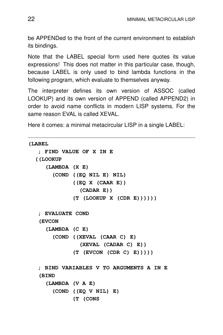be APPENDed to the front of the current environment to establish its bindings.

Note that the LABEL special form used here quotes its value expressions! This does not matter in this particular case, though, because LABEL is only used to bind lambda functions in the following program, which evaluate to themselves anyway.

The interpreter defines its own version of ASSOC (called LOOKUP) and its own version of APPEND (called APPEND2) in order to avoid name conflicts in modern LISP systems. For the same reason EVAL is called XEVAL.

Here it comes: a minimal metacircular LISP in a single LABEL:

```
(LABEL
   ; FIND VALUE OF X IN E
  ((LOOKUP
     (LAMBDA (X E)
       (COND ((EQ NIL E) NIL)
             ((EQ X (CAAR E))
               (CADAR E))
             (T (LOOKUP X (CDR E))))))
   ; EVALUATE COND
   (EVCON
     (LAMBDA (C E)
       (COND ((XEVAL (CAAR C) E)
               (XEVAL (CADAR C) E))
             (T (EVCON (CDR C) E)))))
   ; BIND VARIABLES V TO ARGUMENTS A IN E
   (BIND
     (LAMBDA (V A E)
       (COND ((EQ V NIL) E)
             (T (CONS
```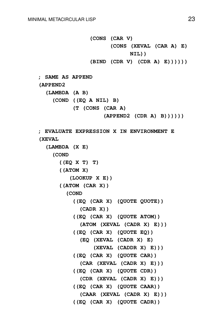**(CONS (CAR V) (CONS (XEVAL (CAR A) E) NIL)) (BIND (CDR V) (CDR A) E)))))) ; SAME AS APPEND (APPEND2 (LAMBDA (A B) (COND ((EQ A NIL) B) (T (CONS (CAR A) (APPEND2 (CDR A) B)))))) ; EVALUATE EXPRESSION X IN ENVIRONMENT E (XEVAL (LAMBDA (X E) (COND ((EQ X T) T) ((ATOM X) (LOOKUP X E)) ((ATOM (CAR X)) (COND ((EQ (CAR X) (QUOTE QUOTE)) (CADR X)) ((EQ (CAR X) (QUOTE ATOM)) (ATOM (XEVAL (CADR X) E))) ((EQ (CAR X) (QUOTE EQ)) (EQ (XEVAL (CADR X) E) (XEVAL (CADDR X) E))) ((EQ (CAR X) (QUOTE CAR)) (CAR (XEVAL (CADR X) E))) ((EQ (CAR X) (QUOTE CDR)) (CDR (XEVAL (CADR X) E))) ((EQ (CAR X) (QUOTE CAAR)) (CAAR (XEVAL (CADR X) E))) ((EQ (CAR X) (QUOTE CADR))**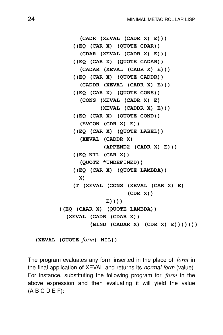```
(CADR (XEVAL (CADR X) E)))
    ((EQ (CAR X) (QUOTE CDAR))
      (CDAR (XEVAL (CADR X) E)))
    ((EQ (CAR X) (QUOTE CADAR))
      (CADAR (XEVAL (CADR X) E)))
    ((EQ (CAR X) (QUOTE CADDR))
      (CADDR (XEVAL (CADR X) E)))
    ((EQ (CAR X) (QUOTE CONS))
      (CONS (XEVAL (CADR X) E)
            (XEVAL (CADDR X) E)))
    ((EQ (CAR X) (QUOTE COND))
      (EVCON (CDR X) E))
    ((EQ (CAR X) (QUOTE LABEL))
      (XEVAL (CADDR X)
             (APPEND2 (CADR X) E)))
    ((EQ NIL (CAR X))
      (QUOTE *UNDEFINED))
    ((EQ (CAR X) (QUOTE LAMBDA))
     X)
    (T (XEVAL (CONS (XEVAL (CAR X) E)
                    (CDR X))
              E))))
((EQ (CAAR X) (QUOTE LAMBDA))
  (XEVAL (CADR (CDAR X))
         (BIND (CADAR X) (CDR X) E)))))))
```
**(XEVAL (QUOTE** *form***) NIL))**

The program evaluates any form inserted in the place of *form* in the final application of XEVAL and returns its *normal form* (value). For instance, substituting the following program for *form* in the above expression and then evaluating it will yield the value  $(A B C D E F)$ :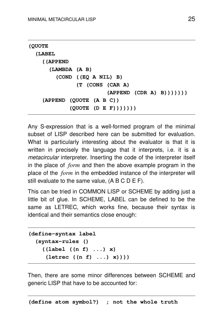```
(QUOTE
  (LABEL
    ((APPEND
      (LAMBDA (A B)
        (COND ((EQ A NIL) B)
               (T (CONS (CAR A)
                        (APPEND (CDR A) B)))))))
    (APPEND (QUOTE (A B C))
            (QUOTE (D E F)))))))
```
Any S-expression that is a well-formed program of the minimal subset of LISP described here can be submitted for evaluation. What is particularly interesting about the evaluator is that it is written in precisely the language that it interprets, i.e. it is a *metacircular* interpreter. Inserting the code of the interpreter itself in the place of *form* and then the above example program in the place of the *form* in the embedded instance of the interpreter will still evaluate to the same value, (A B C D E F).

This can be tried in COMMON LISP or SCHEME by adding just a little bit of glue. In SCHEME, LABEL can be defined to be the same as LETREC, which works fine, because their syntax is identical and their semantics close enough:

```
(define-syntax label
  (syntax-rules ()
    ((label ((n f) ...) x)
     (letrec ((n f) ...) x))))
```
Then, there are some minor differences between SCHEME and generic LISP that have to be accounted for: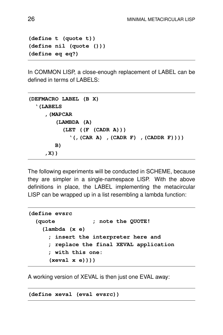```
(define t (quote t))
(define nil (quote ()))
(define eq eq?)
```
In COMMON LISP, a close-enough replacement of LABEL can be defined in terms of LABELS:

```
(DEFMACRO LABEL (B X)
  '(LABELS
     ,(MAPCAR
        (LAMBDA (A)
          (LET ((F (CADR A)))
            '(,(CAR A) ,(CADR F) ,(CADDR F))))
        B)
     ,X))
```
The following experiments will be conducted in SCHEME, because they are simpler in a single-namespace LISP. With the above definitions in place, the LABEL implementing the metacircular LISP can be wrapped up in a list resembling a lambda function:

```
(define evsrc
  (quote ; note the QUOTE!
   (lambda (x e)
     ; insert the interpreter here and
     ; replace the final XEVAL application
     ; with this one:
     (xeval x e))))
```
A working version of XEVAL is then just one EVAL away:

**(define xeval (eval evsrc))**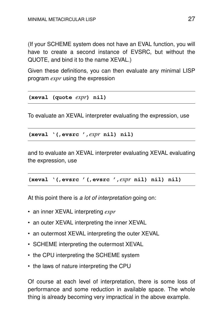(If your SCHEME system does not have an EVAL function, you will have to create a second instance of EVSRC, but without the QUOTE, and bind it to the name XEVAL.)

Given these definitions, you can then evaluate any minimal LISP program *expr* using the expression

```
(xeval (quote expr) nil)
```
To evaluate an XEVAL interpreter evaluating the expression, use

**(xeval '(,evsrc ',***expr* **nil) nil)**

and to evaluate an XEVAL interpreter evaluating XEVAL evaluating the expression, use

**(xeval '(,evsrc '(,evsrc ',***expr* **nil) nil) nil)**

At this point there is a lot of interpretation going on:

- an inner XEVAL interpreting *expr*
- an outer XEVAL interpreting the inner XEVAL
- an outermost XEVAL interpreting the outer XEVAL
- SCHEME interpreting the outermost XEVAL
- the CPU interpreting the SCHEME system
- the laws of nature interpreting the CPU

Of course at each level of interpretation, there is some loss of performance and some reduction in available space. The whole thing is already becoming very impractical in the above example.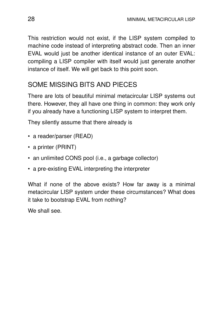This restriction would not exist, if the LISP system compiled to machine code instead of interpreting abstract code. Then an inner EVAL would just be another identical instance of an outer EVAL: compiling a LISP compiler with itself would just generate another instance of itself. We will get back to this point soon.

# SOME MISSING BITS AND PIECES

There are lots of beautiful minimal metacircular LISP systems out there. However, they all have one thing in common: they work only if you already have a functioning LISP system to interpret them.

They silently assume that there already is

- a reader/parser (READ)
- a printer (PRINT)
- an unlimited CONS pool (i.e., a garbage collector)
- a pre-existing EVAL interpreting the interpreter

What if none of the above exists? How far away is a minimal metacircular LISP system under these circumstances? What does it take to bootstrap EVAL from nothing?

We shall see.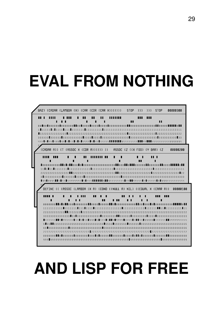# **EVAL FROM NOTHING**



# **AND LISP FOR FREE**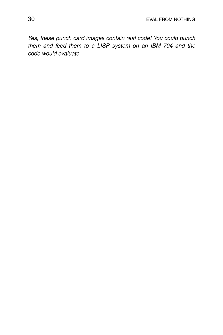Yes, these punch card images contain real code! You could punch them and feed them to a LISP system on an IBM 704 and the code would evaluate.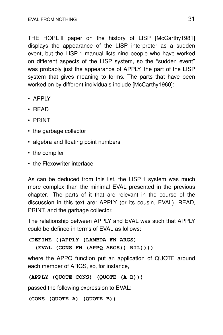THE HOPL II paper on the history of LISP [McCarthy1981] displays the appearance of the LISP interpreter as a sudden event, but the LISP 1 manual lists nine people who have worked on different aspects of the LISP system, so the ''sudden event'' was probably just the appearance of APPLY, the part of the LISP system that gives meaning to forms. The parts that have been worked on by different individuals include [McCarthy1960]:

- APPLY
- READ
- PRINT
- the garbage collector
- algebra and floating point numbers
- the compiler
- the Flexowriter interface

As can be deduced from this list, the LISP 1 system was much more complex than the minimal EVAL presented in the previous chapter. The parts of it that are relevant in the course of the discussion in this text are: APPLY (or its cousin, EVAL), READ, PRINT, and the garbage collector.

The relationship between APPLY and EVAL was such that APPLY could be defined in terms of EVAL as follows:

**(DEFINE ((APPLY (LAMBDA FN ARGS) (EVAL (CONS FN (APPQ ARGS)) NIL))))**

where the APPQ function put an application of QUOTE around each member of ARGS, so, for instance,

```
(APPLY (QUOTE CONS) (QUOTE (A B)))
```
passed the following expression to EVAL:

```
(CONS (QUOTE A) (QUOTE B))
```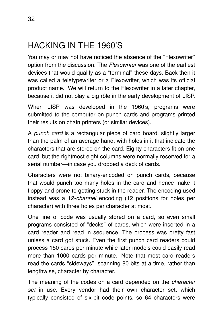# HACKING IN THE 1960'S

You may or may not have noticed the absence of the "Flexowriter" option from the discussion. The Flexowriter was one of the earliest devices that would qualify as a ''ter minal'' these days. Back then it was called a teletypewriter or a Flexowriter, which was its official product name. We will return to the Flexowriter in a later chapter, because it did not play a big rôle in the early development of LISP.

When LISP was developed in the 1960's, programs were submitted to the computer on punch cards and programs printed their results on chain printers (or similar devices).

A punch card is a rectangular piece of card board, slightly larger than the palm of an average hand, with holes in it that indicate the characters that are stored on the card. Eighty characters fit on one card, but the rightmost eight columns were normally reserved for a serial number—in case you dropped a deck of cards.

Characters were not binary-encoded on punch cards, because that would punch too many holes in the card and hence make it floppy and prone to getting stuck in the reader. The encoding used instead was a 12-channel encoding (12 positions for holes per character) with three holes per character at most.

One line of code was usually stored on a card, so even small programs consisted of "decks" of cards, which were inserted in a card reader and read in sequence. The process was pretty fast unless a card got stuck. Even the first punch card readers could process 150 cards per minute while later models could easily read more than 1000 cards per minute. Note that most card readers read the cards "sideways", scanning 80 bits at a time, rather than lengthwise, character by character.

The meaning of the codes on a card depended on the *character* set in use. Every vendor had their own character set, which typically consisted of six-bit code points, so 64 characters were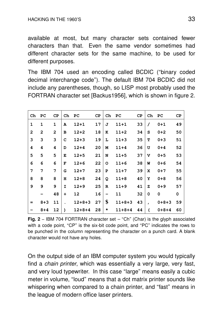available at most, but many character sets contained fewer characters than that. Even the same vendor sometimes had different character sets for the same machine, to be used for different purposes.

The IBM 704 used an encoding called BCDIC ("binary coded decimal interchange code''). The default IBM 704 BCDIC did not include any parentheses, though, so LISP most probably used the FORTRAN character set [Backus1956], which is shown in figure 2.

| Ch           | PС           | СP             | Ch        | PС           | СP | Ch | PC       | СP | Ch           | PC          | СP |
|--------------|--------------|----------------|-----------|--------------|----|----|----------|----|--------------|-------------|----|
| 1            | 1            | 1              | A         | $12 + 1$     | 17 | J  | $11 + 1$ | 33 | 7            | $0 + 1$     | 49 |
| $\mathbf{2}$ | $\mathbf{z}$ | $\overline{2}$ | в         | $12 + 2$     | 18 | K  | $11+2$   | 34 | s            | $0 + 2$     | 50 |
| 3            | 3            | 3              | C         | $12 + 3$     | 19 | L  | $11+3$   | 35 | т            | $0 + 3$     | 51 |
| 4            | 4            | 4              | D         | $12 + 4$     | 20 | N  | $11 + 4$ | 36 | U            | $0 + 4$     | 52 |
| 5            | 5            | 5              | E         | $12 + 5$     | 21 | N  | $11+5$   | 37 | v            | $0 + 5$     | 53 |
| 6            | 6            | 6              | F         | $12 + 6$     | 22 | O  | $11+6$   | 38 | M            | $0 + 6$     | 54 |
| 7            | 7            | 7              | G         | $12 + 7$     | 23 | P  | $11+7$   | 39 | x            | $0 + 7$     | 55 |
| 8            | 8            | 8              | н         | $12 + 8$     | 24 | Q  | $11+8$   | 40 | Y            | $0 + 8$     | 56 |
| 9            | 9            | 9              | I         | $12 + 9$     | 25 | R  | $11+9$   | 41 | z            | $0 + 9$     | 57 |
|              |              | 48             | $\ddot{}$ | 12           | 16 |    | 11       | 32 | 0            | 0           | 0  |
| $=$          | $8 + 3$      | 11             |           | $12+8+3$     | 27 | \$ | $11+8+3$ | 43 | $\mathbf{r}$ | $0 + 8 + 3$ | 59 |
|              | $8 + 4$      | 12             | ١         | $12 + 8 + 4$ | 28 | *  | 11+8+4   | 44 |              | $0 + 8 + 4$ | 60 |

**Fig. 2** − IBM 704 FORTRAN character set – ''Ch'' (Char) is the glyph associated with a code point, "CP" is the six-bit code point, and "PC" indicates the rows to be punched in the column representing the character on a punch card. A blank character would not have any holes.

On the output side of an IBM computer system you would typically find a chain printer, which was essentially a very large, very fast, and very loud typewriter. In this case "large" means easily a cubic meter in volume, ''loud'' means that a dot matrix printer sounds like whispering when compared to a chain printer, and "fast" means in the league of modern office laser printers.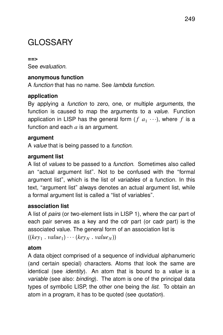# GLOSSARY

#### **==>** See evaluation.

# **anonymous function**

A function that has no name. See lambda function.

# **application**

By applying a *function* to zero, one, or multiple *arguments*, the function is caused to map the arguments to a *value*. Function application in LISP has the general form  $(f|a_1\cdots)$ , where  $f$  is a function and each *a* is an argument.

# **argument**

A value that is being passed to a function.

# **argument list**

A list of values to be passed to a function. Sometimes also called an "actual argument list". Not to be confused with the "formal argument list", which is the list of *variables* of a function. In this text, "argument list" always denotes an actual argument list, while a formal argument list is called a "list of variables".

# **association list**

A list of pairs (or two-element lists in LISP 1), where the car part of each pair serves as a key and the cdr part (or cadr part) is the associated value. The general form of an association list is  $((key_1 \cdot value_1) \cdots (key_N \cdot value_N))$ 

# **atom**

A data object comprised of a sequence of individual alphanumeric (and certain special) characters. Atoms that look the same are identical (see *identity*). An atom that is bound to a *value* is a variable (see also: binding). The atom is one of the principal data types of symbolic LISP, the other one being the *list*. To obtain an atom in a program, it has to be quoted (see quotation).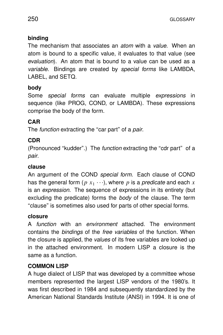# **binding**

The mechanism that associates an *atom* with a *value*. When an atom is bound to a specific value, it evaluates to that value (see evaluation). An atom that is bound to a value can be used as a variable. Bindings are created by special forms like LAMBDA, LABEL, and SETQ.

# **body**

Some *special forms* can evaluate multiple *expressions* in sequence (like PROG, COND, or LAMBDA). These expressions comprise the body of the form.

# **CAR**

The *function* extracting the "car part" of a *pair*.

# **CDR**

(Pronounced "kudder".) The *function* extracting the "cdr part" of a pair.

# **clause**

An argument of the COND special form. Each clause of COND has the general form  $(p|x_1\cdots)$ , where  $p$  is a predicate and each  $x$ is an expression. The sequence of expressions in its entirety (but excluding the predicate) forms the body of the clause. The term "clause" is sometimes also used for parts of other special forms.

# **closure**

A *function* with an environment attached. The environment contains the bindings of the free variables of the function. When the closure is applied, the *values* of its free variables are looked up in the attached environment. In modern LISP a closure is the same as a function.

# **COMMON LISP**

A huge dialect of LISP that was developed by a committee whose members represented the largest LISP vendors of the 1980's. It was first described in 1984 and subsequently standardized by the American National Standards Institute (ANSI) in 1994. It is one of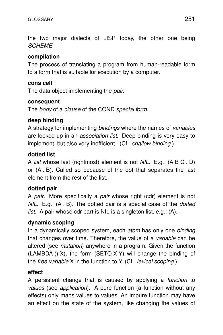the two major dialects of LISP today, the other one being SCHEME.

# **compilation**

The process of translating a program from human-readable form to a form that is suitable for execution by a computer.

# **cons cell**

The data object implementing the *pair*.

# **consequent**

The body of a clause of the COND special form.

# **deep binding**

A strategy for implementing bindings where the names of variables are looked up in an *association list*. Deep binding is very easy to implement, but also very inefficient. (Cf. shallow binding.)

# **dotted list**

A list whose last (rightmost) element is not NIL. E.g.: (A BC.D) or (A . B). Called so because of the dot that separates the last element from the rest of the list.

# **dotted pair**

A pair. More specifically a pair whose right (cdr) element is not  $NIL$ . E.g.:  $(A \cdot B)$ . The dotted pair is a special case of the *dotted list.* A pair whose cdr part is NIL is a singleton list, e.g.:  $(A)$ .

# **dynamic scoping**

In a dynamically scoped system, each atom has only one binding that changes over time. Therefore, the value of a variable can be altered (see mutation) anywhere in a program. Given the function  $(LAMBDA() X)$ , the form  $(SETA X Y)$  will change the binding of the free variable X in the function to Y. (Cf. lexical scoping.)

# **effect**

A persistent change that is caused by applying a function to values (see application). A pure function (a function without any effects) only maps values to values. An impure function may have an effect on the state of the system, like changing the values of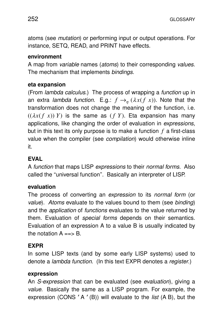atoms (see *mutation*) or performing input or output operations. For instance, SETQ, READ, and PRINT have effects.

# **environment**

A map from *variable* names (*atoms*) to their corresponding *values*. The mechanism that implements bindings.

# **eta expansion**

(From lambda calculus.) The process of wrapping a function up in an extra lambda function. E.g.:  $f \rightarrow_{\eta} (\lambda x(f\ x))$ . Note that the transformation does not change the meaning of the function, i.e.  $((\lambda x(f x)) Y)$  is the same as  $(f Y)$ . Eta expansion has many applications, like changing the order of evaluation in expressions, but in this text its only purpose is to make a function  $f$  a first-class value when the compiler (see compilation) would otherwise inline it.

# **EVAL**

A function that maps LISP expressions to their normal forms. Also called the "universal function". Basically an interpreter of LISP.

# **evaluation**

The process of converting an expression to its normal form (or value). Atoms evaluate to the values bound to them (see binding) and the *application* of *functions* evaluates to the value returned by them. Evaluation of *special forms* depends on their semantics. Evaluation of an expression A to a value B is usually indicated by the notation  $A = S$ .

# **EXPR**

In some LISP texts (and by some early LISP systems) used to denote a lambda function. (In this text EXPR denotes a register.)

# **expression**

An S-expression that can be evaluated (see evaluation), giving a value. Basically the same as a LISP program. For example, the expression (CONS **'**A **'**(B)) will evaluate to the list (A B), but the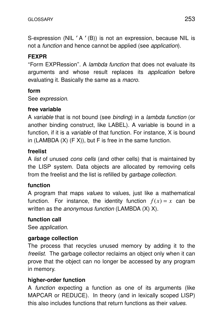S-expression (NIL **'**A **'**(B)) is not an expression, because NIL is not a function and hence cannot be applied (see application).

# **FEXPR**

''Form EXPRession''. A lambda function that does not evaluate its arguments and whose result replaces its application before evaluating it. Basically the same as a *macro*.

# **form**

See expression.

# **free variable**

A variable that is not bound (see binding) in a lambda function (or another binding construct, like LABEL). A variable is bound in a function, if it is a *variable* of that function. For instance, X is bound in (LAMBDA  $(X)$  (F X)), but F is free in the same function.

# **freelist**

A list of unused cons cells (and other cells) that is maintained by the LISP system. Data objects are allocated by removing cells from the freelist and the list is refilled by garbage collection.

# **function**

A program that maps values to values, just like a mathematical function. For instance, the identity function  $f(x) = x$  can be written as the *anonymous function* (LAMBDA  $(X)$  X).

# **function call**

See application.

# **garbage collection**

The process that recycles unused memory by adding it to the freelist. The garbage collector reclaims an object only when it can prove that the object can no longer be accessed by any program in memory.

# **higher-order function**

A function expecting a function as one of its arguments (like MAPCAR or REDUCE). In theory (and in lexically scoped LISP) this also includes functions that return functions as their values.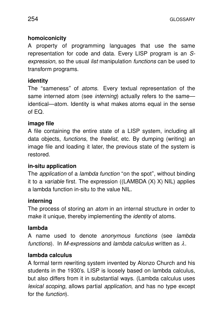# **homoiconicity**

A property of programming languages that use the same representation for code and data. Every LISP program is an Sexpression, so the usual list manipulation functions can be used to transform programs.

# **identity**

The "sameness" of *atoms*. Every textual representation of the same interned atom (see *interning*) actually refers to the same identical—atom. Identity is what makes atoms equal in the sense of EQ.

# **image file**

A file containing the entire state of a LISP system, including all data objects, functions, the freelist, etc. By dumping (writing) an image file and loading it later, the previous state of the system is restored.

# **in-situ application**

The *application* of a *lambda function* "on the spot", without binding it to a *variable* first. The expression ((LAMBDA  $(X)$  X) NIL) applies a lambda function in-situ to the value NIL.

# **interning**

The process of storing an *atom* in an internal structure in order to make it unique, thereby implementing the *identity* of atoms.

# **lambda**

A name used to denote anonymous functions (see lambda functions). In M-expressions and lambda calculus written as  $\lambda$ .

# **lambda calculus**

A formal term rewriting system invented by Alonzo Church and his students in the 1930's. LISP is loosely based on lambda calculus, but also differs from it in substantial ways. (Lambda calculus uses lexical scoping, allows partial application, and has no type except for the function).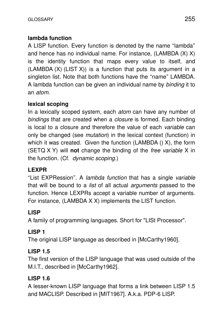# **lambda function**

A LISP function. Every function is denoted by the name "lambda" and hence has no individual name. For instance, (LAMBDA (X) X) is the identity function that maps every value to itself, and  $(LAMBDA(X) (LIST X))$  is a function that puts its argument in a singleton list. Note that both functions have the ''name'' LAMBDA. A lambda function can be given an individual name by binding it to an atom.

# **lexical scoping**

In a lexically scoped system, each *atom* can have any number of bindings that are created when a *closure* is formed. Each binding is local to a closure and therefore the value of each variable can only be changed (see mutation) in the lexical context (function) in which it was created. Given the function (LAMBDA  $()$  X), the form (SETQ X Y) will **not** change the binding of the *free variable* X in the function. (Cf. dynamic scoping.)

# **LEXPR**

"List EXPRession". A lambda function that has a single variable that will be bound to a list of all actual arguments passed to the function. Hence LEXPRs accept a variable number of arguments. For instance, (LAMBDA X X) implements the LIST function.

# **LISP**

A family of programming languages. Short for "LISt Processor".

# **LISP 1**

The original LISP language as described in [McCarthy1960].

# **LISP 1.5**

The first version of the LISP language that was used outside of the M.I.T., described in [McCarthy1962].

# **LISP 1.6**

A lesser-known LISP language that forms a link between LISP 1.5 and MACLISP. Described in [MIT1967]. A.k.a. PDP-6 LISP.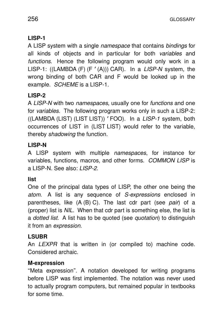# **LISP-1**

A LISP system with a single namespace that contains bindings for all kinds of objects and in particular for both variables and functions. Hence the following program would only work in a LISP-1: ((LAMBDA (F) (F **'**(A))) CAR). In a LISP-N system, the wrong binding of both CAR and F would be looked up in the example. SCHEME is a LISP-1.

# **LISP-2**

A LISP-N with two namespaces, usually one for functions and one for *variables*. The following program works only in such a LISP-2: ((LAMBDA (LIST) (LIST LIST)) **'**FOO). In a LISP-1 system, both occurrences of LIST in (LIST LIST) would refer to the variable, thereby shadowing the function.

# **LISP-N**

A LISP system with multiple namespaces, for instance for variables, functions, macros, and other forms. COMMON LISP is a LISP-N. See also: LISP-2.

# **list**

One of the principal data types of LISP, the other one being the atom. A list is any sequence of S-expressions enclosed in parentheses, like  $(A (B) C)$ . The last cdr part (see pair) of a (proper) list is NIL. When that cdr part is something else, the list is a *dotted list*. A list has to be quoted (see *quotation*) to distinguish it from an expression.

# **LSUBR**

An *LEXPR* that is written in (or compiled to) machine code. Considered archaic.

# **M-expression**

''Meta expression''. A notation developed for writing programs before LISP was first implemented. The notation was never used to actually program computers, but remained popular in textbooks for some time.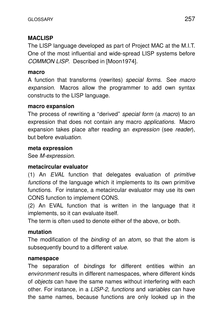# **MACLISP**

The LISP language developed as part of Project MAC at the M.I.T. One of the most influential and wide-spread LISP systems before COMMON LISP. Described in [Moon1974].

# **macro**

A function that transforms (rewrites) special forms. See macro expansion. Macros allow the programmer to add own syntax constructs to the LISP language.

#### **macro expansion**

The process of rewriting a "derived" special form (a macro) to an expression that does not contain any macro applications. Macro expansion takes place after reading an expression (see reader), but before *evaluation*.

#### **meta expression**

See M-expression.

#### **metacircular evaluator**

 $(1)$  An EVAL function that delegates evaluation of *primitive* functions of the language which it implements to its own primitive functions. For instance, a metacircular evaluator may use its own CONS function to implement CONS.

(2) An EVAL function that is written in the language that it implements, so it can evaluate itself.

The term is often used to denote either of the above, or both.

# **mutation**

The modification of the binding of an atom, so that the atom is subsequently bound to a different value.

#### **namespace**

The separation of *bindings* for different entities within an environment results in different namespaces, where different kinds of *objects* can have the same names without interfering with each other. For instance, in a LISP-2, functions and variables can have the same names, because functions are only looked up in the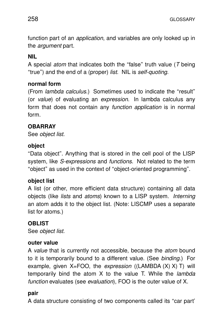function part of an *application*, and variables are only looked up in the *argument* part.

# **NIL**

A special *atom* that indicates both the "false" truth value ( $T$  being "true") and the end of a (proper) *list*. NIL is self-quoting.

# **normal form**

(From *lambda calculus*.) Sometimes used to indicate the "result" (or value) of evaluating an expression. In lambda calculus any form that does not contain any *function application* is in normal form.

# **OBARRAY**

See object list.

# **object**

"Data object". Anything that is stored in the cell pool of the LISP system, like *S-expressions* and *functions*. Not related to the term ''object'' as used in the context of ''object-or iented programming''.

# **object list**

A list (or other, more efficient data structure) containing all data objects (like *lists* and *atoms*) known to a LISP system. *Interning* an atom adds it to the object list. (Note: LISCMP uses a separate list for atoms.)

# **OBLIST**

See object list.

# **outer value**

A value that is currently not accessible, because the atom bound to it is temporarily bound to a different value. (See binding.) For example, given  $X = FOO$ , the expression ((LAMBDA  $(X)$  X) T) will temporarily bind the atom  $X$  to the value T. While the *lambda* function evaluates (see evaluation), FOO is the outer value of X.

# **pair**

A data structure consisting of two components called its "car part"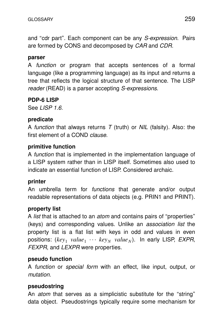and "cdr part". Each component can be any S-expression. Pairs are formed by CONS and decomposed by CAR and CDR.

# **parser**

A *function* or program that accepts sentences of a formal language (like a programming language) as its input and returns a tree that reflects the logical structure of that sentence. The LISP reader (READ) is a parser accepting S-expressions.

# **PDP-6 LISP**

See LISP 1.6.

#### **predicate**

A function that always returns  $T$  (truth) or NIL (falsity). Also: the first element of a COND clause.

# **primitive function**

A *function* that is implemented in the implementation language of a LISP system rather than in LISP itself. Sometimes also used to indicate an essential function of LISP. Considered archaic.

# **printer**

An umbrella term for *functions* that generate and/or output readable representations of data objects (e.g. PRIN1 and PRINT).

# **proper ty list**

A *list* that is attached to an *atom* and contains pairs of "properties" (keys) and corresponding values. Unlike an association list the property list is a flat list with keys in odd and values in even positions: (key<sub>1</sub> value<sub>1</sub> ... key<sub>N</sub> value<sub>N</sub>). In early LISP, EXPR, FEXPR, and LEXPR were properties.

#### **pseudo function**

A function or special form with an effect, like input, output, or mutation.

# **pseudostring**

An *atom* that serves as a simplicistic substitute for the "string" data object. Pseudostrings typically require some mechanism for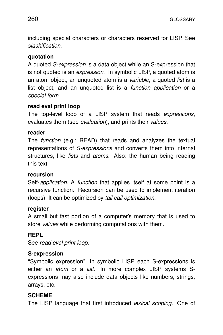including special characters or characters reserved for LISP. See slashification.

# **quotation**

A quoted S-expression is a data object while an S-expression that is not quoted is an *expression*. In symbolic LISP, a quoted atom is an atom object, an unquoted atom is a variable, a quoted list is a list object, and an unquoted list is a *function application* or a special form.

# **read eval print loop**

The top-level loop of a LISP system that reads expressions, evaluates them (see evaluation), and prints their values.

# **reader**

The function (e.g.: READ) that reads and analyzes the textual representations of S-expressions and converts them into internal structures, like *lists* and *atoms*. Also: the human being reading this text.

# **recursion**

Self-application. A function that applies itself at some point is a recursive function. Recursion can be used to implement iteration (loops). It can be optimized by tail call optimization.

# **register**

A small but fast portion of a computer's memory that is used to store *values* while performing computations with them.

# **REPL**

See read eval print loop.

# **S-expression**

''Symbolic expression''. In symbolic LISP each S-expressions is either an *atom* or a *list*. In more complex LISP systems Sexpressions may also include data objects like numbers, strings, arrays, etc.

# **SCHEME**

The LISP language that first introduced lexical scoping. One of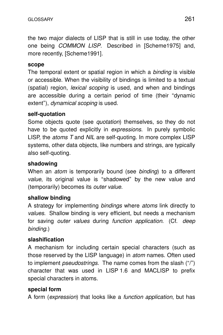the two major dialects of LISP that is still in use today, the other one being COMMON LISP. Described in [Scheme1975] and, more recently, [Scheme1991].

#### **scope**

The temporal extent or spatial region in which a *binding* is visible or accessible. When the visibility of bindings is limited to a textual (spatial) region, lexical scoping is used, and when and bindings are accessible during a certain period of time (their ''dynamic extent"), *dynamical scoping* is used.

# **self-quotation**

Some objects quote (see quotation) themselves, so they do not have to be quoted explicitly in *expressions*. In purely symbolic LISP, the atoms T and NIL are self-quoting. In more complex LISP systems, other data objects, like numbers and strings, are typically also self-quoting.

# **shadowing**

When an *atom* is temporarily bound (see *binding*) to a different value, its original value is "shadowed" by the new value and (temporarily) becomes its *outer value*.

# **shallow binding**

A strategy for implementing bindings where atoms link directly to values. Shallow binding is very efficient, but needs a mechanism for saving outer values during function application. (Cf. deep binding.)

# **slashification**

A mechanism for including certain special characters (such as those reserved by the LISP language) in atom names. Often used to implement *pseudostrings*. The name comes from the slash ("/") character that was used in LISP 1.6 and MACLISP to prefix special characters in atoms.

# **special form**

A form (expression) that looks like a function application, but has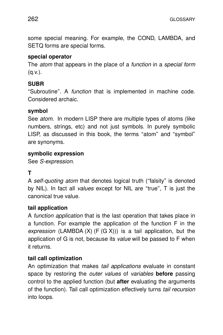some special meaning. For example, the COND, LAMBDA, and SETQ forms are special forms.

# **special operator**

The *atom* that appears in the place of a *function* in a *special form*  $(q.v.)$ .

# **SUBR**

"Subroutine". A *function* that is implemented in machine code. Considered archaic.

# **symbol**

See *atom*. In modern LISP there are multiple types of atoms (like numbers, strings, etc) and not just symbols. In purely symbolic LISP, as discussed in this book, the terms "atom" and "symbol" are synonyms.

# **symbolic expression**

See S-expression.

# **T**

A self-quoting atom that denotes logical truth ("falsity" is denoted by NIL). In fact all *values* except for NIL are "true", T is just the canonical true value.

# **tail application**

A function application that is the last operation that takes place in a function. For example the application of the function F in the expression (LAMBDA  $(X)$  (F  $(G X)$ )) is a tail application, but the application of G is not, because its value will be passed to F when it returns.

# **tail call optimization**

An optimization that makes *tail applications* evaluate in constant space by restoring the *outer values* of *variables* **before** passing control to the applied function (but **after** evaluating the arguments of the function). Tail call optimization effectively turns tail recursion into loops.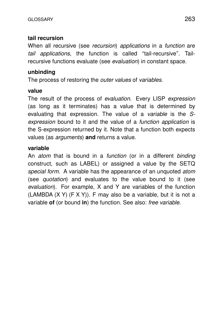# **tail recursion**

When all recursive (see recursion) applications in a function are tail applications, the function is called ''tail-recursive''. Tailrecursive functions evaluate (see evaluation) in constant space.

# **unbinding**

The process of restoring the *outer values* of *variables*.

#### **value**

The result of the process of evaluation. Every LISP expression (as long as it terminates) has a value that is determined by evaluating that expression. The value of a variable is the Sexpression bound to it and the value of a *function application* is the S-expression returned by it. Note that a function both expects values (as *arguments*) and returns a value.

# **variable**

An atom that is bound in a function (or in a different binding construct, such as LABEL) or assigned a value by the SETQ special form. A variable has the appearance of an unquoted atom (see quotation) and evaluates to the value bound to it (see evaluation). For example, X and Y are variables of the function (LAMBDA  $(X Y)$  (F X Y)). F may also be a variable, but it is not a variable **of** (or bound in) the function. See also: free variable.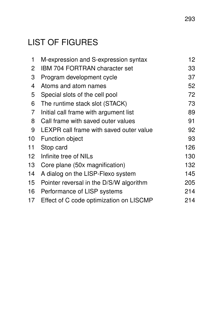# LIST OF FIGURES

| 1               | M-expression and S-expression syntax    | 12  |
|-----------------|-----------------------------------------|-----|
| $\overline{2}$  | <b>IBM 704 FORTRAN character set</b>    | 33  |
| 3               | Program development cycle               | 37  |
| 4               | Atoms and atom names                    | 52  |
| 5               | Special slots of the cell pool          | 72  |
| 6               | The runtime stack slot (STACK)          | 73  |
| $\overline{7}$  | Initial call frame with argument list   | 89  |
| 8               | Call frame with saved outer values      | 91  |
| 9               | LEXPR call frame with saved outer value | 92  |
| 10              | <b>Function object</b>                  | 93  |
| 11              | Stop card                               | 126 |
| 12 <sup>°</sup> | Infinite tree of NILs                   | 130 |
| 13              | Core plane (50x magnification)          | 132 |
| 14              | A dialog on the LISP-Flexo system       | 145 |
| 15              | Pointer reversal in the D/S/W algorithm | 205 |
| 16              | Performance of LISP systems             | 214 |
| 17              | Effect of C code optimization on LISCMP | 214 |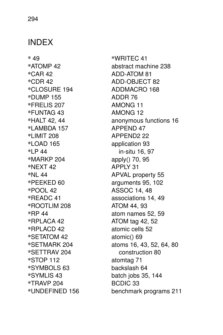# INDEX

**\*** 49 **\***AT OMP 42 **\***CAR 42 **\***CDR 42 **\***CLOSURE 194 **\***DUMP 155 **\***FRELIS 207 **\***FUNTAG 43 **\***HALT 42, 44 **\***LAMBDA 157 **\***LIMIT 208 **\***LOAD 165 **\***LP 44 **\***MARKP 204 **\***NEXT 42 **\***NL 44 **\***PEEKED 60 **\***POOL 42 **\***READC 41 **\***ROOTLIM 208 **\***RP 44 **\***RPLACA 42 **\***RPLACD 42 **\***SETAT OM 42 **\***SETMARK 204 **\***SETTRAV 204 **\***STOP 112 **\***SYMBOLS 63 **\***SYMLIS 43 **\***TRAVP 204 **\***UNDEFINED 156

**\***WRITEC 41 abstract machine 238 ADD-ATOM 81 ADD-OBJECT 82 ADDMACRO 168 ADDR 76 AMONG 11 AMONG 12 anonymous functions 16 APPEND 47 APPEND2 22 application 93 in-situ 16, 97 apply() 70, 95 APPLY 31 APVAL property 55 arguments 95, 102 ASSOC 14, 48 associations 14, 49 ATOM 44, 93 atom names 52, 59 ATOM tag 42, 52 atomic cells 52 atomic() 69 atoms 16, 43, 52, 64, 80 construction 80 atomtag 71 backslash 64 batch jobs 35, 144 BCDIC 33 benchmark programs 211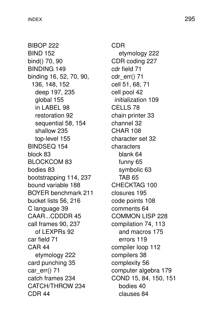BIBOP 222 BIND 152 bind() 70, 90 BINDING 149 binding 16, 52, 70, 90, 136, 148, 152 deep 197, 235 global 155 in LABEL 98 restoration 92 sequential 58, 154 shallow 235 top-level 155 BINDSEQ 154 block 83 BLOCKCOM 83 bodies 83 bootstrapping 114, 237 bound variable 188 BOYER benchmark 211 bucket lists 56, 216 C language 39 CAAR...CDDDR 45 call frames 90, 237 of LEXPRs 92 car field 71 CAR 44 etymology 222 card punching 35 car\_err() 71 catch frames 234 CATCH/THROW 234 CDR 44

CDR etymology 222 CDR coding 227 cdr field 71 cdr\_err() 71 cell 51, 68, 71 cell pool 42 initialization 109 CELLS 78 chain printer 33 channel 32 CHAR 108 character set 32 characters blank 64 funny 65 symbolic 63 TAB 65 CHECKTAG 100 closures 195 code points 108 comments 64 COMMON LISP 228 compilation 74, 113 and macros 175 errors 119 compiler loop 112 compilers 38 complexity 56 computer algebra 179 COND 15, 84, 150, 151 bodies 40 clauses 84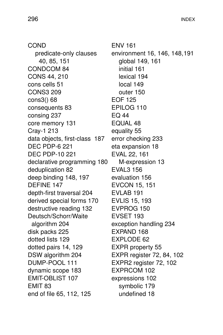COND predicate-only clauses 40, 85, 151 CONDCOM 84 CONS 44, 210 cons cells 51 CONS3 209 cons3() 68 consequents 83 consing 237 core memory 131 Cray-1 213 data objects, first-class 187 DEC PDP-6 221 DEC PDP-10 221 declarative programming 180 deduplication 82 deep binding 148, 197 DEFINE 147 depth-first traversal 204 derived special forms 170 destructive reading 132 Deutsch/Schorr/Waite algorithm 204 disk packs 225 dotted lists 129 dotted pairs 14, 129 DSW algorithm 204 DUMP-POOL 111 dynamic scope 183 EMIT-OBLIST 107 EMIT 83 end of file 65, 112, 125

ENV 161 environment 16, 146, 148,191 global 149, 161 initial 161 lexical 194 local 149 outer 150 EOF 125 EPILOG 110 EQ 44 EQUAL 48 equality 55 error checking 233 eta expansion 18 EVAL 22, 161 M-expression 13 EVAL3 156 evaluation 156 EVCON 15, 151 EVLAB 191 EVLIS 15, 193 EVPROG 150 EVSET 193 exception handling 234 EXPAND 168 EXPLODE 62 EXPR property 55 EXPR register 72, 84, 102 EXPR2 register 72, 102 EXPRCOM 102 expressions 102 symbolic 179 undefined 18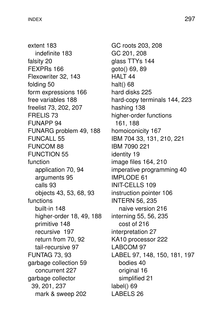extent 183 indefinite 183 falsity 20 FEXPRs 166 Flexowriter 32, 143 folding 50 form expressions 166 free variables 188 freelist 73, 202, 207 FRELIS 73 FUNAPP 94 FUNARG problem 49, 188 FUNCALL 55 FUNCOM 88 FUNCTION 55 function application 70, 94 arguments 95 calls 93 objects 43, 53, 68, 93 functions built-in 148 higher-order 18, 49, 188 primitive 148 recursive 197 return from 70, 92 tail-recursive 97 FUNTAG 73, 93 garbage collection 59 concurrent 227 garbage collector 39, 201, 237 mark & sweep 202

GC roots 203, 208 GC 201, 208 glass TTYs 144 goto() 69, 89 HALT 44 halt() 68 hard disks 225 hard-copy terminals 144, 223 hashing 138 higher-order functions 161, 188 homoiconicity 167 IBM 704 33, 131, 210, 221 IBM 7090 221 identity 19 image files 164, 210 imperative programming 40 IMPLODE 61 INIT-CELLS 109 instruction pointer 106 INTERN 56, 235 naive version 216 interning 55, 56, 235 cost of 216 interpretation 27 KA10 processor 222 LABCOM 97 LABEL 97, 148, 150, 181, 197 bodies 40 or iginal 16 simplified 21 label() 69 LABELS 26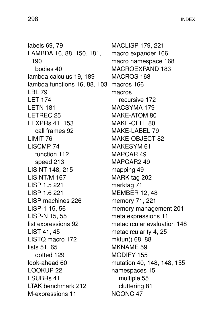labels 69, 79 LAMBDA 16, 88, 150, 181, 190 bodies 40 lambda calculus 19, 189 lambda functions 16, 88, 103 macros 166 LBL 79 LET 174 LETN 181 LETREC 25 LEXPRs 41, 153 call frames 92 LIMIT 76 LISCMP 74 function 112 speed 213 LISINT 148, 215 LISINT/M 167 LISP 1.5 221 LISP 1.6 221 LISP machines 226 LISP-1 15, 56 LISP-N 15, 55 list expressions 92 LIST 41, 45 LISTQ macro 172 lists 51, 65 dotted 129 look-ahead 60 LOOKUP 22 LSUBRs 41 LTAK benchmark 212 M-expressions 11

MACLISP 179, 221 macro expander 166 macro namespace 168 MACROEXPAND 183 MACROS 168 macros recursive 172 MACSYMA 179 MAKE-ATOM 80 MAKE-CELL 80 MAKE-LABEL 79 MAKE-OBJECT 82 MAKESYM 61 MAPCAR 49 MAPCAR2 49 mapping 49 MARK tag 202 marktag 71 MEMBER 12, 48 memory 71, 221 memory management 201 meta expressions 11 metacircular evaluation 148 metacircularity 4, 25 mkfun() 68, 88 MKNAME 59 MODIFY 155 mutation 40, 148, 148, 155 namespaces 15 multiple 55 cluttering 81 NCONC 47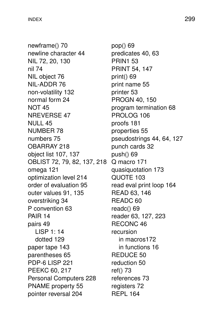newframe() 70 newline character 44 NIL 72, 20, 130 nil 74 NIL object 76 NIL-ADDR 76 non-volatility 132 normal form 24 NOT 45 NREVERSE 47 NULL 45 NUMBER 78 numbers 75 OBARRAY 218 object list 107, 137 OBLIST 72, 79, 82, 137, 218 Q macro 171 omega 121 optimization level 214 order of evaluation 95 outer values 91, 135 overstriking 34 P convention 63 PAIR 14 pairs 49 LISP 1: 14 dotted 129 paper tape 143 parentheses 65 PDP-6 LISP 221 PEEKC 60, 217 Personal Computers 228 PNAME property 55 pointer reversal 204

pop() 69 predicates 40, 63 PRIN1 53 PRINT 54, 147 print $()$  69 print name 55 printer 53 PROGN 40, 150 program termination 68 PROLOG 106 proofs 181 proper ties 55 pseudostrings 44, 64, 127 punch cards 32 push() 69 quasiquotation 173 QUOTE 103 read eval print loop 164 READ 63, 146 READC 60 readc() 69 reader 63, 127, 223 RECONC 46 recursion in macros172 in functions 16 REDUCE 50 reduction 50 ref() 73 references 73 registers 72 REPL 164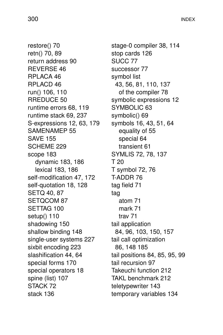restore() 70 retn() 70, 89 return address 90 REVERSE 46 RPLACA 46 RPLACD 46 run() 106, 110 RREDUCE 50 runtime errors 68, 119 runtime stack 69, 237 S-expressions 12, 63, 179 SAMENAMEP 55 SAVE 155 SCHEME 229 scope 183 dynamic 183, 186 lexical 183, 186 self-modification 47, 172 self-quotation 18, 128 SETQ 40, 87 SETQCOM 87 SETTAG 100 setup() 110 shadowing 150 shallow binding 148 single-user systems 227 sixbit encoding 223 slashification 44, 64 special forms 170 special operators 18 spine (list) 107 STACK 72 stack 136

stage-0 compiler 38, 114 stop cards 126 SUCC 77 successor 77 symbol list 43, 56, 81, 110, 137 of the compiler 78 symbolic expressions 12 SYMBOLIC 63 symbolic() 69 symbols 16, 43, 51, 64 equality of 55 special 64 transient 61 SYMLIS 72, 78, 137 T 20 T symbol 72, 76 T-ADDR 76 tag field 71 tag atom 71 mark 71 trav 71 tail application 84, 96, 103, 150, 157 tail call optimization 86, 148 185 tail positions 84, 85, 95, 99 tail recursion 97 Takeuchi function 212 TAKL benchmark 212 teletypewriter 143 temporary variables 134